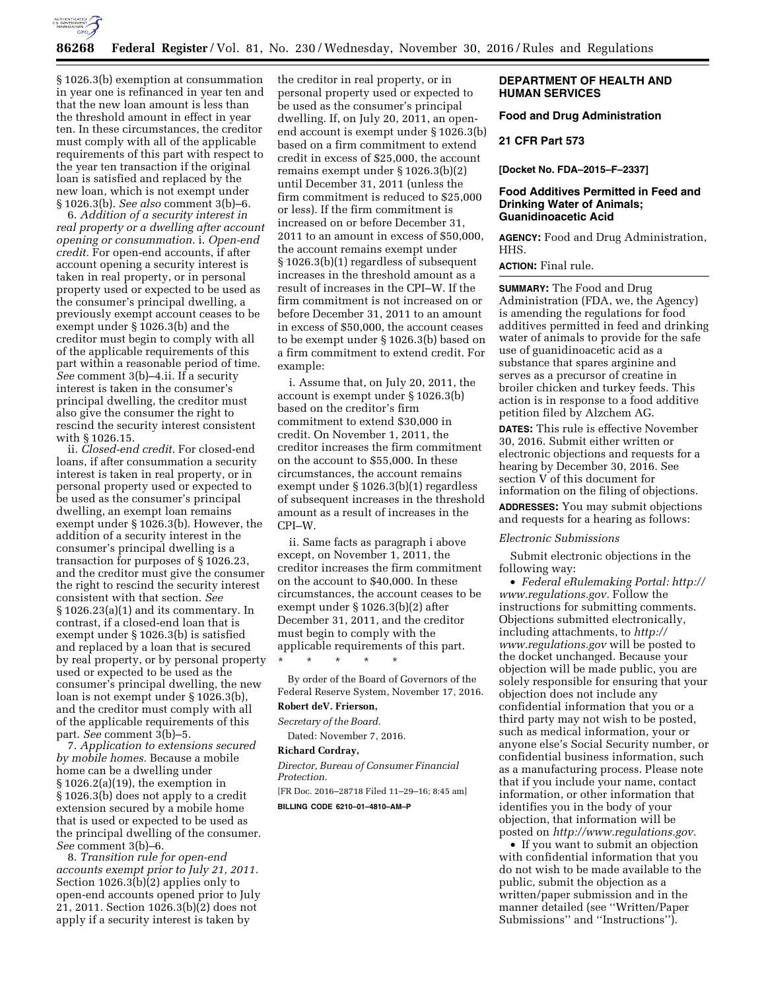

### **86268 Federal Register** / Vol. 81, No. 230 / Wednesday, November 30, 2016 / Rules and Regulations

§ 1026.3(b) exemption at consummation in year one is refinanced in year ten and that the new loan amount is less than the threshold amount in effect in year ten. In these circumstances, the creditor must comply with all of the applicable requirements of this part with respect to the year ten transaction if the original loan is satisfied and replaced by the new loan, which is not exempt under § 1026.3(b). *See also* comment 3(b)–6.

6. *Addition of a security interest in real property or a dwelling after account opening or consummation.* i. *Open-end credit.* For open-end accounts, if after account opening a security interest is taken in real property, or in personal property used or expected to be used as the consumer's principal dwelling, a previously exempt account ceases to be exempt under § 1026.3(b) and the creditor must begin to comply with all of the applicable requirements of this part within a reasonable period of time. *See* comment 3(b)–4.ii. If a security interest is taken in the consumer's principal dwelling, the creditor must also give the consumer the right to rescind the security interest consistent with § 1026.15.

ii. *Closed-end credit.* For closed-end loans, if after consummation a security interest is taken in real property, or in personal property used or expected to be used as the consumer's principal dwelling, an exempt loan remains exempt under § 1026.3(b). However, the addition of a security interest in the consumer's principal dwelling is a transaction for purposes of § 1026.23, and the creditor must give the consumer the right to rescind the security interest consistent with that section. *See*  § 1026.23(a)(1) and its commentary. In contrast, if a closed-end loan that is exempt under § 1026.3(b) is satisfied and replaced by a loan that is secured by real property, or by personal property used or expected to be used as the consumer's principal dwelling, the new loan is not exempt under § 1026.3(b), and the creditor must comply with all of the applicable requirements of this part. *See* comment 3(b)–5.

7. *Application to extensions secured by mobile homes.* Because a mobile home can be a dwelling under § 1026.2(a)(19), the exemption in § 1026.3(b) does not apply to a credit extension secured by a mobile home that is used or expected to be used as the principal dwelling of the consumer. *See* comment 3(b)–6.

8. *Transition rule for open-end accounts exempt prior to July 21, 2011.*  Section 1026.3(b)(2) applies only to open-end accounts opened prior to July 21, 2011. Section 1026.3(b)(2) does not apply if a security interest is taken by

the creditor in real property, or in personal property used or expected to be used as the consumer's principal dwelling. If, on July 20, 2011, an openend account is exempt under § 1026.3(b) based on a firm commitment to extend credit in excess of \$25,000, the account remains exempt under § 1026.3(b)(2) until December 31, 2011 (unless the firm commitment is reduced to \$25,000 or less). If the firm commitment is increased on or before December 31, 2011 to an amount in excess of \$50,000, the account remains exempt under § 1026.3(b)(1) regardless of subsequent increases in the threshold amount as a result of increases in the CPI–W. If the firm commitment is not increased on or before December 31, 2011 to an amount in excess of \$50,000, the account ceases to be exempt under § 1026.3(b) based on a firm commitment to extend credit. For example:

i. Assume that, on July 20, 2011, the account is exempt under § 1026.3(b) based on the creditor's firm commitment to extend \$30,000 in credit. On November 1, 2011, the creditor increases the firm commitment on the account to \$55,000. In these circumstances, the account remains exempt under § 1026.3(b)(1) regardless of subsequent increases in the threshold amount as a result of increases in the CPI–W.

ii. Same facts as paragraph i above except, on November 1, 2011, the creditor increases the firm commitment on the account to \$40,000. In these circumstances, the account ceases to be exempt under § 1026.3(b)(2) after December 31, 2011, and the creditor must begin to comply with the applicable requirements of this part. \* \* \* \* \*

By order of the Board of Governors of the Federal Reserve System, November 17, 2016. **Robert deV. Frierson,** 

*Secretary of the Board.*  Dated: November 7, 2016.

# **Richard Cordray,**

*Director, Bureau of Consumer Financial Protection.* 

[FR Doc. 2016–28718 Filed 11–29–16; 8:45 am] **BILLING CODE 6210–01–4810–AM–P** 

# **DEPARTMENT OF HEALTH AND HUMAN SERVICES**

**Food and Drug Administration** 

## **21 CFR Part 573**

**[Docket No. FDA–2015–F–2337]** 

# **Food Additives Permitted in Feed and Drinking Water of Animals; Guanidinoacetic Acid**

**AGENCY:** Food and Drug Administration, HHS.

**ACTION:** Final rule.

**SUMMARY:** The Food and Drug Administration (FDA, we, the Agency) is amending the regulations for food additives permitted in feed and drinking water of animals to provide for the safe use of guanidinoacetic acid as a substance that spares arginine and serves as a precursor of creatine in broiler chicken and turkey feeds. This action is in response to a food additive petition filed by Alzchem AG.

**DATES:** This rule is effective November 30, 2016. Submit either written or electronic objections and requests for a hearing by December 30, 2016. See section V of this document for information on the filing of objections.

**ADDRESSES:** You may submit objections and requests for a hearing as follows:

#### *Electronic Submissions*

Submit electronic objections in the following way:

• *Federal eRulemaking Portal: [http://](http://www.regulations.gov)  [www.regulations.gov.](http://www.regulations.gov)* Follow the instructions for submitting comments. Objections submitted electronically, including attachments, to *[http://](http://www.regulations.gov) [www.regulations.gov](http://www.regulations.gov)* will be posted to the docket unchanged. Because your objection will be made public, you are solely responsible for ensuring that your objection does not include any confidential information that you or a third party may not wish to be posted, such as medical information, your or anyone else's Social Security number, or confidential business information, such as a manufacturing process. Please note that if you include your name, contact information, or other information that identifies you in the body of your objection, that information will be posted on *[http://www.regulations.gov.](http://www.regulations.gov)* 

• If you want to submit an objection with confidential information that you do not wish to be made available to the public, submit the objection as a written/paper submission and in the manner detailed (see ''Written/Paper Submissions'' and ''Instructions'').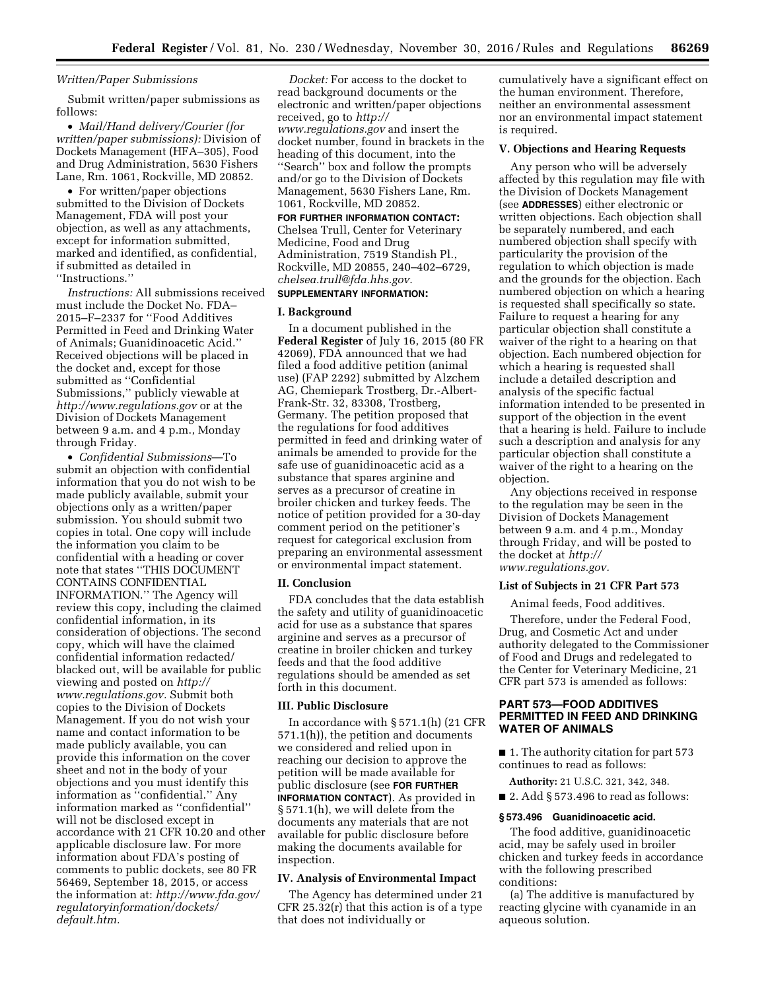# *Written/Paper Submissions*

Submit written/paper submissions as follows:

• *Mail/Hand delivery/Courier (for written/paper submissions):* Division of Dockets Management (HFA–305), Food and Drug Administration, 5630 Fishers Lane, Rm. 1061, Rockville, MD 20852.

• For written/paper objections submitted to the Division of Dockets Management, FDA will post your objection, as well as any attachments, except for information submitted, marked and identified, as confidential, if submitted as detailed in ''Instructions.''

*Instructions:* All submissions received must include the Docket No. FDA– 2015–F–2337 for ''Food Additives Permitted in Feed and Drinking Water of Animals; Guanidinoacetic Acid.'' Received objections will be placed in the docket and, except for those submitted as ''Confidential Submissions,'' publicly viewable at *<http://www.regulations.gov>* or at the Division of Dockets Management between 9 a.m. and 4 p.m., Monday through Friday.

• *Confidential Submissions*—To submit an objection with confidential information that you do not wish to be made publicly available, submit your objections only as a written/paper submission. You should submit two copies in total. One copy will include the information you claim to be confidential with a heading or cover note that states ''THIS DOCUMENT CONTAINS CONFIDENTIAL INFORMATION.'' The Agency will review this copy, including the claimed confidential information, in its consideration of objections. The second copy, which will have the claimed confidential information redacted/ blacked out, will be available for public viewing and posted on *[http://](http://www.regulations.gov) [www.regulations.gov.](http://www.regulations.gov)* Submit both copies to the Division of Dockets Management. If you do not wish your name and contact information to be made publicly available, you can provide this information on the cover sheet and not in the body of your objections and you must identify this information as ''confidential.'' Any information marked as ''confidential'' will not be disclosed except in accordance with 21 CFR 10.20 and other applicable disclosure law. For more information about FDA's posting of comments to public dockets, see 80 FR 56469, September 18, 2015, or access the information at: *[http://www.fda.gov/](http://www.fda.gov/regulatoryinformation/dockets/default.htm)  [regulatoryinformation/dockets/](http://www.fda.gov/regulatoryinformation/dockets/default.htm)  [default.htm.](http://www.fda.gov/regulatoryinformation/dockets/default.htm)* 

*Docket:* For access to the docket to read background documents or the electronic and written/paper objections received, go to *[http://](http://www.regulations.gov) [www.regulations.gov](http://www.regulations.gov)* and insert the docket number, found in brackets in the heading of this document, into the ''Search'' box and follow the prompts and/or go to the Division of Dockets Management, 5630 Fishers Lane, Rm. 1061, Rockville, MD 20852.

#### **FOR FURTHER INFORMATION CONTACT:**

Chelsea Trull, Center for Veterinary Medicine, Food and Drug Administration, 7519 Standish Pl., Rockville, MD 20855, 240–402–6729, *[chelsea.trull@fda.hhs.gov.](mailto:chelsea.trull@fda.hhs.gov)* 

# **SUPPLEMENTARY INFORMATION:**

#### **I. Background**

In a document published in the **Federal Register** of July 16, 2015 (80 FR 42069), FDA announced that we had filed a food additive petition (animal use) (FAP 2292) submitted by Alzchem AG, Chemiepark Trostberg, Dr.-Albert-Frank-Str. 32, 83308, Trostberg, Germany. The petition proposed that the regulations for food additives permitted in feed and drinking water of animals be amended to provide for the safe use of guanidinoacetic acid as a substance that spares arginine and serves as a precursor of creatine in broiler chicken and turkey feeds. The notice of petition provided for a 30-day comment period on the petitioner's request for categorical exclusion from preparing an environmental assessment or environmental impact statement.

## **II. Conclusion**

FDA concludes that the data establish the safety and utility of guanidinoacetic acid for use as a substance that spares arginine and serves as a precursor of creatine in broiler chicken and turkey feeds and that the food additive regulations should be amended as set forth in this document.

#### **III. Public Disclosure**

In accordance with § 571.1(h) (21 CFR 571.1(h)), the petition and documents we considered and relied upon in reaching our decision to approve the petition will be made available for public disclosure (see **FOR FURTHER INFORMATION CONTACT**). As provided in § 571.1(h), we will delete from the documents any materials that are not available for public disclosure before making the documents available for inspection.

# **IV. Analysis of Environmental Impact**

The Agency has determined under 21 CFR 25.32(r) that this action is of a type that does not individually or

cumulatively have a significant effect on the human environment. Therefore, neither an environmental assessment nor an environmental impact statement is required.

#### **V. Objections and Hearing Requests**

Any person who will be adversely affected by this regulation may file with the Division of Dockets Management (see **ADDRESSES**) either electronic or written objections. Each objection shall be separately numbered, and each numbered objection shall specify with particularity the provision of the regulation to which objection is made and the grounds for the objection. Each numbered objection on which a hearing is requested shall specifically so state. Failure to request a hearing for any particular objection shall constitute a waiver of the right to a hearing on that objection. Each numbered objection for which a hearing is requested shall include a detailed description and analysis of the specific factual information intended to be presented in support of the objection in the event that a hearing is held. Failure to include such a description and analysis for any particular objection shall constitute a waiver of the right to a hearing on the objection.

Any objections received in response to the regulation may be seen in the Division of Dockets Management between 9 a.m. and 4 p.m., Monday through Friday, and will be posted to the docket at *[http://](http://www.regulations.gov) [www.regulations.gov.](http://www.regulations.gov)* 

#### **List of Subjects in 21 CFR Part 573**

Animal feeds, Food additives.

Therefore, under the Federal Food, Drug, and Cosmetic Act and under authority delegated to the Commissioner of Food and Drugs and redelegated to the Center for Veterinary Medicine, 21 CFR part 573 is amended as follows:

# **PART 573—FOOD ADDITIVES PERMITTED IN FEED AND DRINKING WATER OF ANIMALS**

■ 1. The authority citation for part 573 continues to read as follows:

**Authority:** 21 U.S.C. 321, 342, 348.

 $\blacksquare$  2. Add § 573.496 to read as follows:

#### **§ 573.496 Guanidinoacetic acid.**

The food additive, guanidinoacetic acid, may be safely used in broiler chicken and turkey feeds in accordance with the following prescribed conditions:

(a) The additive is manufactured by reacting glycine with cyanamide in an aqueous solution.